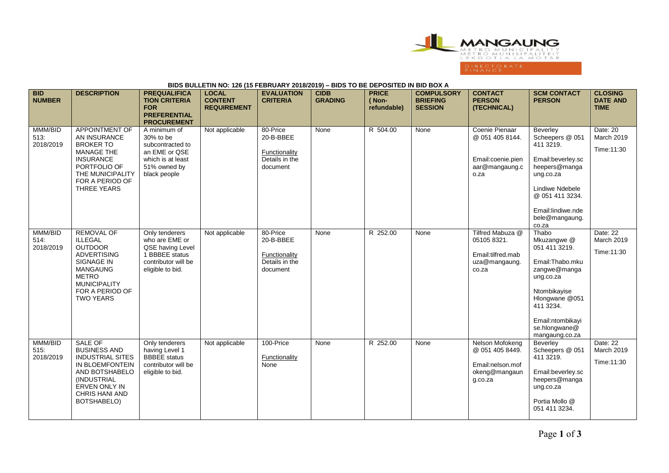

## **BIDS BULLETIN NO: 126 (15 FEBRUARY 2018/2019) – BIDS TO BE DEPOSITED IN BID BOX A**

| <b>BID</b><br><b>NUMBER</b>  | <b>DESCRIPTION</b>                                                                                                                                                                                | <b>PREQUALIFICA</b><br><b>TION CRITERIA</b><br><b>FOR</b><br><b>PREFERENTIAL</b><br><b>PROCUREMENT</b>              | <b>LOCAL</b><br><b>CONTENT</b><br><b>REQUIREMENT</b> | <b>EVALUATION</b><br><b>CRITERIA</b>                                 | <b>CIDB</b><br><b>GRADING</b> | <b>PRICE</b><br>(Non-<br>refundable) | <b>COMPULSORY</b><br><b>BRIEFING</b><br><b>SESSION</b> | <b>CONTACT</b><br><b>PERSON</b><br>(TECHNICAL)                                     | <b>SCM CONTACT</b><br><b>PERSON</b>                                                                                                                                                          | <b>CLOSING</b><br><b>DATE AND</b><br><b>TIME</b> |
|------------------------------|---------------------------------------------------------------------------------------------------------------------------------------------------------------------------------------------------|---------------------------------------------------------------------------------------------------------------------|------------------------------------------------------|----------------------------------------------------------------------|-------------------------------|--------------------------------------|--------------------------------------------------------|------------------------------------------------------------------------------------|----------------------------------------------------------------------------------------------------------------------------------------------------------------------------------------------|--------------------------------------------------|
| MMM/BID<br>513.<br>2018/2019 | APPOINTMENT OF<br>AN INSURANCE<br><b>BROKER TO</b><br><b>MANAGE THE</b><br><b>INSURANCE</b><br>PORTFOLIO OF<br>THE MUNICIPALITY<br>FOR A PERIOD OF<br>THREE YEARS                                 | A minimum of<br>30% to be<br>subcontracted to<br>an EME or QSE<br>which is at least<br>51% owned by<br>black people | Not applicable                                       | 80-Price<br>20-B-BBEE<br>Functionality<br>Details in the<br>document | None                          | R 504.00                             | None                                                   | Coenie Pienaar<br>@ 051 405 8144.<br>Email:coenie.pien<br>aar@mangaung.c<br>o.za   | Beverlev<br>Scheepers @ 051<br>411 3219.<br>Email:beverley.sc<br>heepers@manga<br>ung.co.za<br>Lindiwe Ndebele<br>@ 051 411 3234.<br>Email:lindiwe.nde<br>bele@mangaung.<br>co.za            | Date: 20<br>March 2019<br>Time: 11:30            |
| MMM/BID<br>514:<br>2018/2019 | <b>REMOVAL OF</b><br><b>ILLEGAL</b><br><b>OUTDOOR</b><br><b>ADVERTISING</b><br><b>SIGNAGE IN</b><br><b>MANGAUNG</b><br><b>METRO</b><br><b>MUNICIPALITY</b><br>FOR A PERIOD OF<br><b>TWO YEARS</b> | Only tenderers<br>who are EME or<br>QSE having Level<br>1 BBBEE status<br>contributor will be<br>eligible to bid.   | Not applicable                                       | 80-Price<br>20-B-BBEE<br>Functionality<br>Details in the<br>document | None                          | R 252.00                             | None                                                   | Tilfred Mabuza @<br>05105 8321.<br>Email:tilfred.mab<br>uza@mangaung.<br>co.za     | Thabo<br>Mkuzangwe @<br>051 411 3219.<br>Email: Thabo.mku<br>zangwe@manga<br>ung.co.za<br>Ntombikayise<br>Hlongwane @051<br>411 3234.<br>Email:ntombikayi<br>se.hlongwane@<br>mangaung.co.za | Date: 22<br><b>March 2019</b><br>Time:11:30      |
| MMM/BID<br>515.<br>2018/2019 | <b>SALE OF</b><br><b>BUSINESS AND</b><br><b>INDUSTRIAL SITES</b><br>IN BLOEMFONTEIN<br>AND BOTSHABELO<br>(INDUSTRIAL<br><b>ERVEN ONLY IN</b><br><b>CHRIS HANI AND</b><br>BOTSHABELO)              | Only tenderers<br>having Level 1<br><b>BBBEE</b> status<br>contributor will be<br>eligible to bid.                  | Not applicable                                       | 100-Price<br>Functionality<br>None                                   | None                          | R 252.00                             | None                                                   | Nelson Mofokeng<br>@ 051 405 8449.<br>Email:nelson.mof<br>okeng@mangaun<br>q.co.za | Beverley<br>Scheepers @ 051<br>411 3219.<br>Email:beverley.sc<br>heepers@manga<br>ung.co.za<br>Portia Mollo @<br>051 411 3234.                                                               | Date: 22<br><b>March 2019</b><br>Time:11:30      |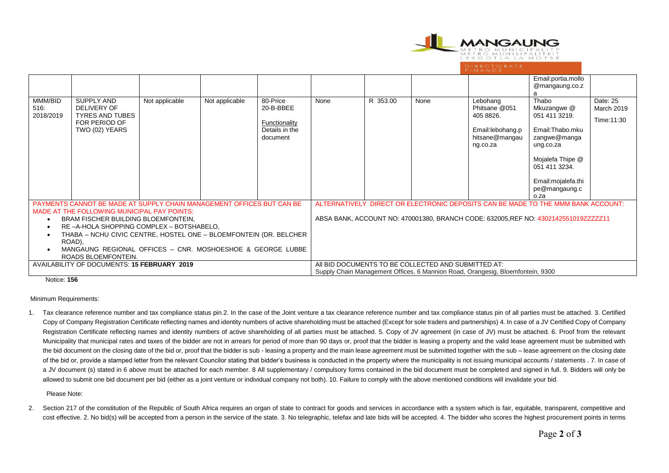

|                                                                                                                                                                                                                                                                                                                 |                                                                                               |                |                |                                                                                     |                                                                                                                                       |          |      |                                                                                          | Email:portia.mollo<br>@mangaung.co.z                                                                                                                                       |                                              |
|-----------------------------------------------------------------------------------------------------------------------------------------------------------------------------------------------------------------------------------------------------------------------------------------------------------------|-----------------------------------------------------------------------------------------------|----------------|----------------|-------------------------------------------------------------------------------------|---------------------------------------------------------------------------------------------------------------------------------------|----------|------|------------------------------------------------------------------------------------------|----------------------------------------------------------------------------------------------------------------------------------------------------------------------------|----------------------------------------------|
| MMM/BID<br>516.<br>2018/2019                                                                                                                                                                                                                                                                                    | <b>SUPPLY AND</b><br>DELIVERY OF<br><b>TYRES AND TUBES</b><br>FOR PERIOD OF<br>TWO (02) YEARS | Not applicable | Not applicable | 80-Price<br>20-B-BBEE<br>Functionality<br>Details in the<br>document                | None                                                                                                                                  | R 353.00 | None | Lebohang<br>Phitsane @051<br>405 8826.<br>Email:lebohang.p<br>hitsane@mangau<br>ng.co.za | Thabo<br>Mkuzangwe @<br>051 411 3219.<br>Email:Thabo.mku<br>zangwe@manga<br>ung.co.za<br>Mojalefa Thipe @<br>051 411 3234.<br>Email: mojalefa.thi<br>pe@mangaung.c<br>o.za | Date: 25<br><b>March 2019</b><br>Time: 11:30 |
| PAYMENTS CANNOT BE MADE AT SUPPLY CHAIN MANAGEMENT OFFICES BUT CAN BE                                                                                                                                                                                                                                           |                                                                                               |                |                | ALTERNATIVELY DIRECT OR ELECTRONIC DEPOSITS CAN BE MADE TO THE MMM BANK ACCOUNT:    |                                                                                                                                       |          |      |                                                                                          |                                                                                                                                                                            |                                              |
| MADE AT THE FOLLOWING MUNICIPAL PAY POINTS:<br>BRAM FISCHER BUILDING BLOEMFONTEIN,<br>RE-A-HOLA SHOPPING COMPLEX - BOTSHABELO,<br>THABA - NCHU CIVIC CENTRE, HOSTEL ONE - BLOEMFONTEIN (DR. BELCHER<br>$\bullet$<br>ROAD),<br>MANGAUNG REGIONAL OFFICES - CNR. MOSHOESHOE & GEORGE LUBBE<br>ROADS BLOEMFONTEIN. |                                                                                               |                |                | ABSA BANK, ACCOUNT NO: 470001380, BRANCH CODE: 632005, REF NO: 4302142551019ZZZZZ11 |                                                                                                                                       |          |      |                                                                                          |                                                                                                                                                                            |                                              |
| AVAILABILITY OF DOCUMENTS: 15 FEBRUARY 2019                                                                                                                                                                                                                                                                     |                                                                                               |                |                |                                                                                     | AII BID DOCUMENTS TO BE COLLECTED AND SUBMITTED AT:<br>Supply Chain Management Offices, 6 Mannion Road, Orangesig, Bloemfontein, 9300 |          |      |                                                                                          |                                                                                                                                                                            |                                              |

Notice: **156**

## Minimum Requirements:

1. Tax clearance reference number and tax compliance status pin.2. In the case of the Joint venture a tax clearance reference number and tax compliance status pin of all parties must be attached. 3. Certified Copy of Company Registration Certificate reflecting names and identity numbers of active shareholding must be attached (Except for sole traders and partnerships) 4. In case of a JV Certified Copy of Company Registration Certificate reflecting names and identity numbers of active shareholding of all parties must be attached. 5. Copy of JV agreement (in case of JV) must be attached. 6. Proof from the relevant Municipality that municipal rates and taxes of the bidder are not in arrears for period of more than 90 days or, proof that the bidder is leasing a property and the valid lease agreement must be submitted with the bid document on the closing date of the bid or, proof that the bidder is sub - leasing a property and the main lease agreement must be submitted together with the sub – lease agreement on the closing date of the bid or, provide a stamped letter from the relevant Councilor stating that bidder's business is conducted in the property where the municipality is not issuing municipal accounts / statements . 7. In case of a JV document (s) stated in 6 above must be attached for each member. 8 All supplementary / compulsory forms contained in the bid document must be completed and signed in full. 9. Bidders will only be allowed to submit one bid document per bid (either as a joint venture or individual company not both). 10. Failure to comply with the above mentioned conditions will invalidate your bid.

Please Note:

2. Section 217 of the constitution of the Republic of South Africa requires an organ of state to contract for goods and services in accordance with a system which is fair, equitable, transparent, competitive and cost effective. 2. No bid(s) will be accepted from a person in the service of the state. 3. No telegraphic, telefax and late bids will be accepted. 4. The bidder who scores the highest procurement points in terms